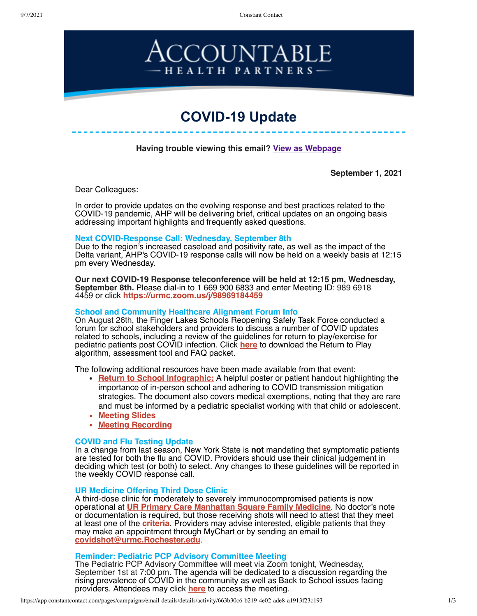9/7/2021 Constant Contact



# **COVID-19 Update**

**Having trouble viewing this email? [View as Webpage](https://campaignlp.constantcontact.com/em/1116358108777/663b30c6-b219-4e02-ade8-a1913f23c193)**

**September 1, 2021**

Dear Colleagues:

In order to provide updates on the evolving response and best practices related to the COVID-19 pandemic, AHP will be delivering brief, critical updates on an ongoing basis addressing important highlights and frequently asked questions.

#### **Next COVID-Response Call: Wednesday, September 8th**

Due to the region's increased caseload and positivity rate, as well as the impact of the Delta variant, AHP's COVID-19 response calls will now be held on a weekly basis at 12:15 pm every Wednesday.

**Our next COVID-19 Response teleconference will be held at 12:15 pm, Wednesday, September 8th.** Please dial-in to 1 669 900 6833 and enter Meeting ID: 989 6918 4459 or click **<https://urmc.zoom.us/j/98969184459>**

#### **School and Community Healthcare Alignment Forum Info**

On August 26th, the Finger Lakes Schools Reopening Safely Task Force conducted a forum for school stakeholders and providers to discuss a number of COVID updates related to schools, including a review of the guidelines for return to play/exercise for pediatric patients post COVID infection. Click **[here](https://www.urmc.rochester.edu/MediaLibraries/URMCMedia/childrens-hospital/coronavirus/documents/GCH-Return-to-Exercise-after-COVID-guidelines-packet-3-8-21.pdf)** to download the Return to Play algorithm, assessment tool and FAQ packet.

The following additional resources have been made available from that event:

- **[Return to School Infographic:](https://ahpnetwork.com/wp-content/uploads/2021/09/return-to-school.pdf)** A helpful poster or patient handout highlighting the importance of in-person school and adhering to COVID transmission mitigation strategies. The document also covers medical exemptions, noting that they are rare and must be informed by a pediatric specialist working with that child or adolescent.
- **[Meeting Slides](https://ahpnetwork.com/wp-content/uploads/2021/09/School-Community-Health-Care-Alignment-for-COVID-19-Forum-Slides-8.26.21.pdf)**
- **[Meeting Recording](https://us06web.zoom.us/rec/play/MjQTfXSgEH3FMDjy2IIci3-SKgufyfj1QPfYJL1HNEBXj6peBuJQZf-jYn2AAgPDtzwmCuVorlRc8Ujg.Ot9f3vXGzO23PwcS?startTime=1630018872000&_x_zm_rtaid=Ln9vR4L_TrSDyissWA_AVA.1630518833590.4ad67f2402d8cc79c02c2bae428bca9c&_x_zm_rhtaid=754)**

#### **COVID and Flu Testing Update**

In a change from last season, New York State is **not** mandating that symptomatic patients are tested for both the flu and COVID. Providers should use their clinical judgement in deciding which test (or both) to select. Any changes to these guidelines will be reported in the weekly COVID response call.

#### **UR Medicine Offering Third Dose Clinic**

A third-dose clinic for moderately to severely immunocompromised patients is now operational at **[UR Primary Care Manhattan Square Family Medicine](https://www.urmc.rochester.edu/primary-care/practices/manhattan-square-family-medicine.aspx)**. No doctor's note or documentation is required, but those receiving shots will need to attest that they meet at least one of the **[criteria](https://www.cdc.gov/coronavirus/2019-ncov/vaccines/recommendations/immuno.html#anchor_1630089738910)**. Providers may advise interested, eligible patients that they may make an appointment through MyChart or by sending an email to **[covidshot@urmc.Rochester.edu](mailto:covidshot@urmc.Rochester.edu)**.

#### **Reminder: Pediatric PCP Advisory Committee Meeting**

The Pediatric PCP Advisory Committee will meet via Zoom tonight, Wednesday, September 1st at 7:00 pm. The agenda will be dedicated to a discussion regarding the rising prevalence of COVID in the community as well as Back to School issues facing providers. Attendees may click **[here](https://urmc.zoom.us/j/96697563516)** to access the meeting.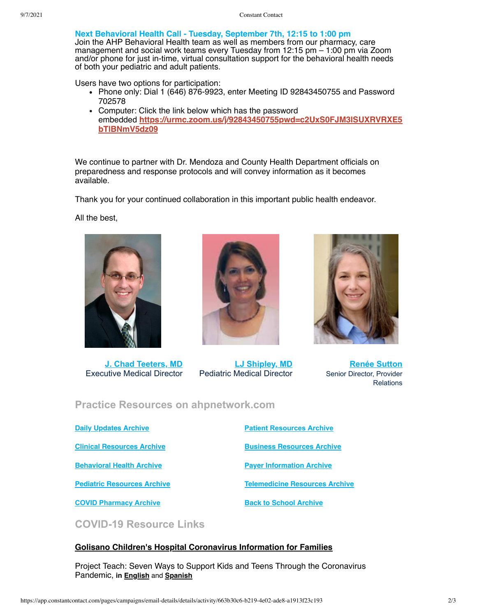**Next Behavioral Health Call - Tuesday, September 7th, 12:15 to 1:00 pm**

Join the AHP Behavioral Health team as well as members from our pharmacy, care management and social work teams every Tuesday from 12:15 pm – 1:00 pm via Zoom and/or phone for just in-time, virtual consultation support for the behavioral health needs of both your pediatric and adult patients.

Users have two options for participation:

- Phone only: Dial 1 (646) 876-9923, enter Meeting ID 92843450755 and Password 702578
- Computer: Click the link below which has the password embedded **[https://urmc.zoom.us/j/92843450755pwd=c2UxS0FJM3lSUXRVRXE5](https://urldefense.proofpoint.com/v2/url?u=https-3A__urmc.zoom.us_j_92843450755-3Fpwd-3Dc2UxS0FJM3lSUXRVRXE5bTlBNmV5dz09&d=DwMFaQ&c=4sF48jRmVAe_CH-k9mXYXEGfSnM3bY53YSKuLUQRxhA&r=OOjhaJdYW-v7Hk2vsseKQju6oXTF3VGRYLmMyMNHGyg&m=HG7X4C3xkEs5dTtk_dtQcOAjo5WH7lVDPE6FGlM5toM&s=gAlBaQid5-Shuw8ONv8b1---39xFekYnsdxAlK7ItSs&e=) bTlBNmV5dz09**

We continue to partner with Dr. Mendoza and County Health Department officials on preparedness and response protocols and will convey information as it becomes available.

Thank you for your continued collaboration in this important public health endeavor.

All the best,



**[J. Chad Teeters, MD](mailto:john_teeters@urmc.rochester.edu)** Executive Medical Director



**[LJ Shipley, MD](mailto:Laura_shipley@urmc.rochester.edu)** Pediatric Medical Director



**[Renée Sutton](mailto:renee_sutton@urmc.rochester.edu)** Senior Director, Provider Relations

# **Practice Resources on ahpnetwork.com**

**[Daily Updates Archive](https://ahpnetwork.com/category/news/covid-19/daily-updates/) [Clinical Resources Archive](https://ahpnetwork.com/category/news/covid-19/clinical-resources/) [Behavioral Health Archive](https://ahpnetwork.com/category/news/covid-19/behavioral-health/) [Pediatric Resources Archive](https://ahpnetwork.com/category/news/covid-19/covid-pediatrics/)** **[Patient Resources Archive](https://ahpnetwork.com/category/news/covid-19/patient-resources/)**

**[Business Resources Archive](https://ahpnetwork.com/category/news/covid-19/business-resources/)**

**[Payer Information Archive](https://ahpnetwork.com/category/news/covid-19/payer-information/)**

**[Telemedicine Resources Archive](https://ahpnetwork.com/category/news/covid-19/telemedicine-resources/)**

**[COVID Pharmacy Archive](https://ahpnetwork.com/category/news/covid-19/pharmacy/)**

**[Back to School Archive](https://ahpnetwork.com/category/news/covid-19/covid-pediatrics/covid-return-to-school/)**

**COVID-19 Resource Links**

#### **[Golisano Children's Hospital Coronavirus Information for Families](https://www.urmc.rochester.edu/childrens-hospital/coronavirus-information-for-families.aspx)**

Project Teach: Seven Ways to Support Kids and Teens Through the Coronavirus Pandemic, **in [English](https://www.mghclaycenter.org/hot-topics/7-ways-to-support-kids-and-teens-through-the-coronavirus-pandemic/)** and **[Spanish](https://www.mghclaycenter.org/hot-topics/7-maneras-de-apoyar-a-ninos-y-adolescentes-durante-la-pandemia-del-coronavirus/)**